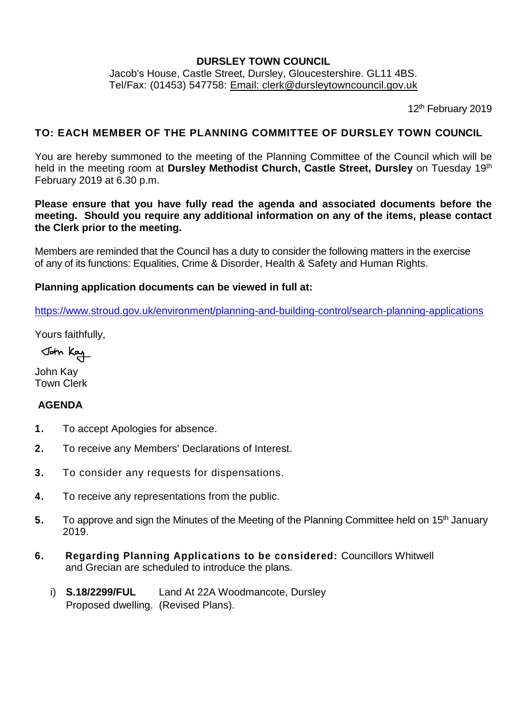#### **DURSLEY TOWN COUNCIL**

Jacob's House, Castle Street, Dursley, Gloucestershire. GL11 4BS. Tel/Fax: (01453) 547758: [Email: clerk@dursleytowncouncil.gov.uk](mailto:clerk@dursleytowncouncil.gov.uk)

12<sup>th</sup> February 2019

### **TO: EACH MEMBER OF THE PLANNING COMMITTEE OF DURSLEY TOWN COUNCIL**

You are hereby summoned to the meeting of the Planning Committee of the Council which will be held in the meeting room at Dursley Methodist Church, Castle Street, Dursley on Tuesday 19<sup>th</sup> February 2019 at 6.30 p.m.

**Please ensure that you have fully read the agenda and associated documents before the meeting. Should you require any additional information on any of the items, please contact the Clerk prior to the meeting.**

Members are reminded that the Council has a duty to consider the following matters in the exercise of any of its functions: Equalities, Crime & Disorder, Health & Safety and Human Rights.

#### **Planning application documents can be viewed in full at:**

<https://www.stroud.gov.uk/environment/planning-and-building-control/search-planning-applications>

Yours faithfully,

John Kay

John Kay Town Clerk

### **AGENDA**

- **1.** To accept Apologies for absence.
- **2.** To receive any Members' Declarations of Interest.
- **3.** To consider any requests for dispensations.
- **4.** To receive any representations from the public.
- 5. To approve and sign the Minutes of the Meeting of the Planning Committee held on 15<sup>th</sup> January 2019.
- **6. Regarding Planning Applications to be considered:** Councillors Whitwell and Grecian are scheduled to introduce the plans.
	- i) **S.18/2299/FUL** Land At 22A Woodmancote, Dursley Proposed dwelling. (Revised Plans).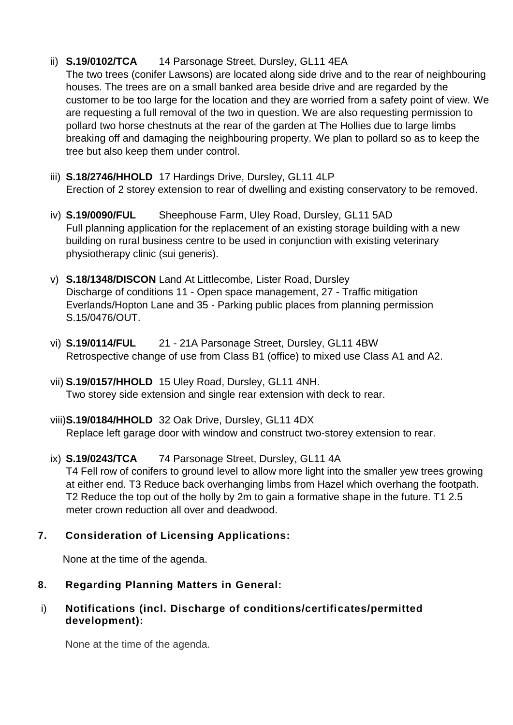# ii) **S.19/0102/TCA** 14 Parsonage Street, Dursley, GL11 4EA

The two trees (conifer Lawsons) are located along side drive and to the rear of neighbouring houses. The trees are on a small banked area beside drive and are regarded by the customer to be too large for the location and they are worried from a safety point of view. We are requesting a full removal of the two in question. We are also requesting permission to pollard two horse chestnuts at the rear of the garden at The Hollies due to large limbs breaking off and damaging the neighbouring property. We plan to pollard so as to keep the tree but also keep them under control.

- iii) **S.18/2746/HHOLD** 17 Hardings Drive, Dursley, GL11 4LP Erection of 2 storey extension to rear of dwelling and existing conservatory to be removed.
- iv) **S.19/0090/FUL** Sheephouse Farm, Uley Road, Dursley, GL11 5AD Full planning application for the replacement of an existing storage building with a new building on rural business centre to be used in conjunction with existing veterinary physiotherapy clinic (sui generis).
- v) **S.18/1348/DISCON** Land At Littlecombe, Lister Road, Dursley Discharge of conditions 11 - Open space management, 27 - Traffic mitigation Everlands/Hopton Lane and 35 - Parking public places from planning permission S.15/0476/OUT.
- vi) **S.19/0114/FUL** 21 21A Parsonage Street, Dursley, GL11 4BW Retrospective change of use from Class B1 (office) to mixed use Class A1 and A2.
- vii) **S.19/0157/HHOLD** 15 Uley Road, Dursley, GL11 4NH. Two storey side extension and single rear extension with deck to rear.
- viii)**S.19/0184/HHOLD** 32 Oak Drive, Dursley, GL11 4DX Replace left garage door with window and construct two-storey extension to rear.

#### ix) **S.19/0243/TCA** 74 Parsonage Street, Dursley, GL11 4A T4 Fell row of conifers to ground level to allow more light into the smaller yew trees growing at either end. T3 Reduce back overhanging limbs from Hazel which overhang the footpath. T2 Reduce the top out of the holly by 2m to gain a formative shape in the future. T1 2.5 meter crown reduction all over and deadwood.

# **7. Consideration of Licensing Applications:**

None at the time of the agenda.

# **8. Regarding Planning Matters in General:**

## i) **Notifications (incl. Discharge of conditions/certificates/permitted development):**

None at the time of the agenda.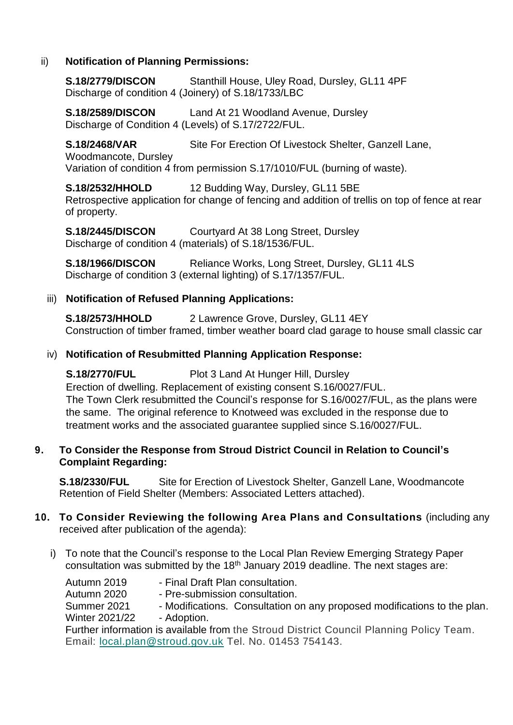### ii) **Notification of Planning Permissions:**

**S.18/2779/DISCON** Stanthill House, Uley Road, Dursley, GL11 4PF Discharge of condition 4 (Joinery) of S.18/1733/LBC

**S.18/2589/DISCON** Land At 21 Woodland Avenue, Dursley Discharge of Condition 4 (Levels) of S.17/2722/FUL.

**S.18/2468/VAR** Site For Erection Of Livestock Shelter, Ganzell Lane,

Woodmancote, Dursley

Variation of condition 4 from permission S.17/1010/FUL (burning of waste).

**S.18/2532/HHOLD** 12 Budding Way, Dursley, GL11 5BE Retrospective application for change of fencing and addition of trellis on top of fence at rear of property.

**S.18/2445/DISCON** Courtyard At 38 Long Street, Dursley Discharge of condition 4 (materials) of S.18/1536/FUL.

**S.18/1966/DISCON** Reliance Works, Long Street, Dursley, GL11 4LS Discharge of condition 3 (external lighting) of S.17/1357/FUL.

## iii) **Notification of Refused Planning Applications:**

**S.18/2573/HHOLD** 2 Lawrence Grove, Dursley, GL11 4EY Construction of timber framed, timber weather board clad garage to house small classic car

### iv) **Notification of Resubmitted Planning Application Response:**

**S.18/2770/FUL** Plot 3 Land At Hunger Hill, Dursley

Erection of dwelling. Replacement of existing consent S.16/0027/FUL. The Town Clerk resubmitted the Council's response for S.16/0027/FUL, as the plans were the same. The original reference to Knotweed was excluded in the response due to treatment works and the associated guarantee supplied since S.16/0027/FUL.

### **9. To Consider the Response from Stroud District Council in Relation to Council's Complaint Regarding:**

**S.18/2330/FUL** Site for Erection of Livestock Shelter, Ganzell Lane, Woodmancote Retention of Field Shelter (Members: Associated Letters attached).

### **10. To Consider Reviewing the following Area Plans and Consultations** (including any received after publication of the agenda):

i) To note that the Council's response to the Local Plan Review Emerging Strategy Paper consultation was submitted by the 18<sup>th</sup> January 2019 deadline. The next stages are:

Autumn 2019 - Final Draft Plan consultation. Autumn 2020 - Pre-submission consultation. Summer 2021 - Modifications. Consultation on any proposed modifications to the plan. Winter 2021/22 - Adoption. Further information is available from the Stroud District Council Planning Policy Team. Email: [local.plan@stroud.gov.uk](mailto:local.plan@stroud.gov.uk) Tel. No. 01453 754143.